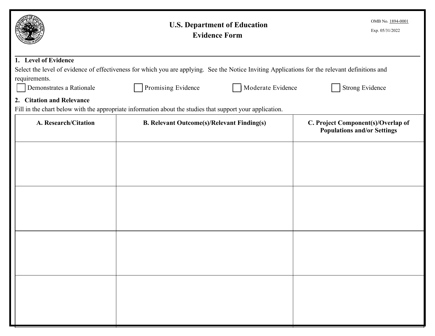|                                                                                                                                                 | <b>U.S. Department of Education</b><br><b>Evidence Form</b> | OMB No. 1894-0001<br>Exp. 05/31/2022                                     |  |  |
|-------------------------------------------------------------------------------------------------------------------------------------------------|-------------------------------------------------------------|--------------------------------------------------------------------------|--|--|
| 1. Level of Evidence                                                                                                                            |                                                             |                                                                          |  |  |
| Select the level of evidence of effectiveness for which you are applying. See the Notice Inviting Applications for the relevant definitions and |                                                             |                                                                          |  |  |
| requirements.<br>Demonstrates a Rationale                                                                                                       | Moderate Evidence<br>Promising Evidence                     | <b>Strong Evidence</b>                                                   |  |  |
|                                                                                                                                                 |                                                             |                                                                          |  |  |
| 2. Citation and Relevance<br>Fill in the chart below with the appropriate information about the studies that support your application.          |                                                             |                                                                          |  |  |
| A. Research/Citation                                                                                                                            | <b>B. Relevant Outcome(s)/Relevant Finding(s)</b>           | C. Project Component(s)/Overlap of<br><b>Populations and/or Settings</b> |  |  |
|                                                                                                                                                 |                                                             |                                                                          |  |  |
|                                                                                                                                                 |                                                             |                                                                          |  |  |
|                                                                                                                                                 |                                                             |                                                                          |  |  |
|                                                                                                                                                 |                                                             |                                                                          |  |  |
|                                                                                                                                                 |                                                             |                                                                          |  |  |
|                                                                                                                                                 |                                                             |                                                                          |  |  |
|                                                                                                                                                 |                                                             |                                                                          |  |  |
|                                                                                                                                                 |                                                             |                                                                          |  |  |
|                                                                                                                                                 |                                                             |                                                                          |  |  |
|                                                                                                                                                 |                                                             |                                                                          |  |  |
|                                                                                                                                                 |                                                             |                                                                          |  |  |
|                                                                                                                                                 |                                                             |                                                                          |  |  |
|                                                                                                                                                 |                                                             |                                                                          |  |  |
|                                                                                                                                                 |                                                             |                                                                          |  |  |
|                                                                                                                                                 |                                                             |                                                                          |  |  |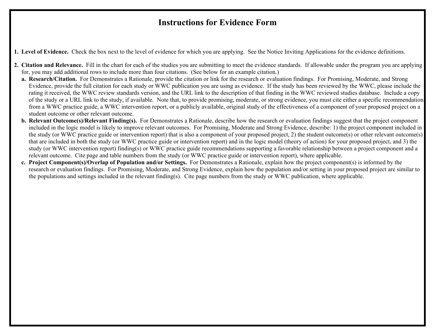## **Instructions for Evidence Form**

**1. Level of Evidence.** Check the box next to the level of evidence for which you are applying. See the Notice Inviting Applications for the evidence definitions.

- **2. Citation and Relevance.** Fill in the chart for each of the studies you are submitting to meet the evidence standards. If allowable under the program you are applying for, you may add additional rows to include more than four citations. (See below for an example citation.)
	- **a. Research/Citation.** For Demonstrates a Rationale, provide the citation or link for the research or evaluation findings. For Promising, Moderate, and Strong of the study or a URL link to the study, if available. Note that, to provide promising, moderate, or strong evidence, you must cite either a specific recommendation Evidence, provide the full citation for each study or WWC publication you are using as evidence. If the study has been reviewed by the WWC, please include the rating it received, the WWC review standards version, and the URL link to the description of that finding in the WWC reviewed studies database. Include a copy from a WWC practice guide, a WWC intervention report, or a publicly available, original study of the effectiveness of a component of your proposed project on a student outcome or other relevant outcome.
	- relevant outcome. Cite page and table numbers from the study (or WWC practice guide or intervention report), where applicable. **b. Relevant Outcome(s)/Relevant Finding(s).** For Demonstrates a Rationale, describe how the research or evaluation findings suggest that the project component included in the logic model is likely to improve relevant outcomes. For Promising, Moderate and Strong Evidence, describe: 1) the project component included in the study (or WWC practice guide or intervention report) that is also a component of your proposed project, 2) the student outcome(s) or other relevant outcome(s) that are included in both the study (or WWC practice guide or intervention report) and in the logic model (theory of action) for your proposed project, and 3) the study (or WWC intervention report) finding(s) or WWC practice guide recommendations supporting a favorable relationship between a project component and a
	- research or evaluation findings. For Promising, Moderate, and Strong Evidence, explain how the population and/or setting in your proposed project are similar to the populations and settings included in the relevant finding(s). Cite page numbers from the study or WWC publication, where applicable. **c. Project Component(s)/Overlap of Population and/or Settings.** For Demonstrates a Rationale, explain how the project component(s) is informed by the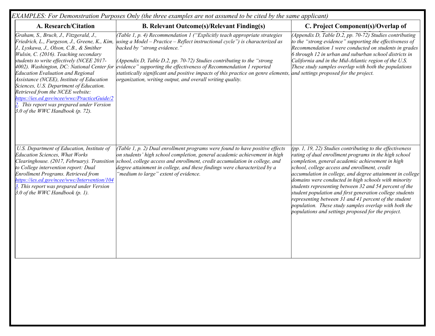| EXAMPLES: For Demonstration Purposes Only (the three examples are not assumed to be cited by the same applicant)                                                                                                                                                                                                                                                                                                                                                                                                              |                                                                                                                                                                                                                                                                                                                                                                                                                                                                                                                                                       |                                                                                                                                                                                                                                                                                                                                                                                                                                                                                                                                                                                                                                            |  |  |
|-------------------------------------------------------------------------------------------------------------------------------------------------------------------------------------------------------------------------------------------------------------------------------------------------------------------------------------------------------------------------------------------------------------------------------------------------------------------------------------------------------------------------------|-------------------------------------------------------------------------------------------------------------------------------------------------------------------------------------------------------------------------------------------------------------------------------------------------------------------------------------------------------------------------------------------------------------------------------------------------------------------------------------------------------------------------------------------------------|--------------------------------------------------------------------------------------------------------------------------------------------------------------------------------------------------------------------------------------------------------------------------------------------------------------------------------------------------------------------------------------------------------------------------------------------------------------------------------------------------------------------------------------------------------------------------------------------------------------------------------------------|--|--|
| A. Research/Citation                                                                                                                                                                                                                                                                                                                                                                                                                                                                                                          | <b>B. Relevant Outcome(s)/Relevant Finding(s)</b>                                                                                                                                                                                                                                                                                                                                                                                                                                                                                                     | C. Project Component(s)/Overlap of                                                                                                                                                                                                                                                                                                                                                                                                                                                                                                                                                                                                         |  |  |
| Graham, S., Bruch, J., Fitzgerald, J.,<br>J., Lyskawa, J., Olson, C.B., & Smither<br>Wulsin, C. (2016). Teaching secondary<br>students to write effectively (NCEE 2017-<br>4002). Washington, DC: National Center for<br><b>Education Evaluation and Regional</b><br>Assistance (NCEE), Institute of Education<br>Sciences, U.S. Department of Education.<br>Retrieved from the NCEE website:<br>https://ies.ed.gov/ncee/wwc/PracticeGuide/2<br>This report was prepared under Version<br>3.0 of the WWC Handbook $(p. 72)$ . | (Table 1, p. 4) Recommendation $1$ ("Explicitly teach appropriate strategies<br>Friedrich, L., Furgeson, J., Greene, K., Kim, <i>using a Model</i> – Practice – Reflect instructional cycle") is characterized as<br>backed by "strong evidence."<br>(Appendix D, Table D.2, pp. 70-72) Studies contributing to the "strong<br>evidence" supporting the effectiveness of Recommendation 1 reported<br>statistically significant and positive impacts of this practice on genre elements<br>organization, writing output, and overall writing quality. | (Appendix D, Table D.2, pp. 70-72) Studies contributing<br>to the "strong evidence" supporting the effectiveness of<br>Recommendation 1 were conducted on students in grades<br>6 through 12 in urban and suburban school districts in<br>California and in the Mid-Atlantic region of the U.S.<br>These study samples overlap with both the populations<br>and settings proposed for the project.                                                                                                                                                                                                                                         |  |  |
| U.S. Department of Education, Institute of<br><b>Education Sciences, What Works</b><br>to College intervention report: Dual<br>Enrollment Programs. Retrieved from<br>https://ies.ed.gov/ncee/wwc/Intervention/104<br>3. This report was prepared under Version<br>3.0 of the WWC Handbook $(p. 1)$ .                                                                                                                                                                                                                         | (Table 1, p. 2) Dual enrollment programs were found to have positive effects<br>on students' high school completion, general academic achievement in high<br>Clearinghouse. (2017, February). Transition school, college access and enrollment, credit accumulation in college, and<br>degree attainment in college, and these findings were characterized by a<br>"medium to large" extent of evidence.                                                                                                                                              | (pp. 1, 19, 22) Studies contributing to the effectiveness<br>rating of dual enrollment programs in the high school<br>completion, general academic achievement in high<br>school, college access and enrollment, credit<br>accumulation in college, and degree attainment in college<br>domains were conducted in high schools with minority<br>students representing between 32 and 54 percent of the<br>student population and first generation college students<br>representing between 31 and 41 percent of the student<br>population. These study samples overlap with both the<br>populations and settings proposed for the project. |  |  |
|                                                                                                                                                                                                                                                                                                                                                                                                                                                                                                                               |                                                                                                                                                                                                                                                                                                                                                                                                                                                                                                                                                       |                                                                                                                                                                                                                                                                                                                                                                                                                                                                                                                                                                                                                                            |  |  |